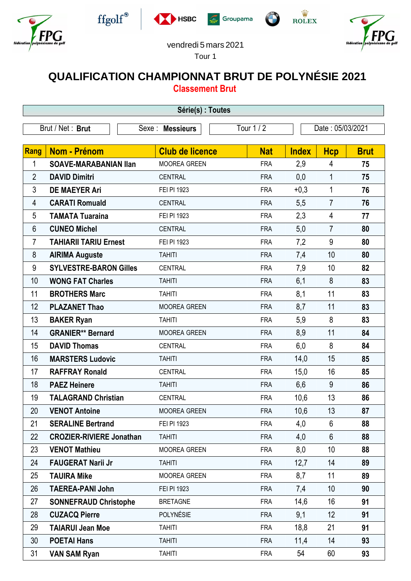











## vendredi 5 mars 2021

Tour 1

## **QUALIFICATION CHAMPIONNAT BRUT DE POLYNÉSIE 2021**

**Classement Brut**

| Série(s) : Toutes |                                 |                        |            |              |                  |             |  |  |  |
|-------------------|---------------------------------|------------------------|------------|--------------|------------------|-------------|--|--|--|
| Brut / Net: Brut  |                                 | Sexe : Messieurs       | Tour 1 / 2 |              | Date: 05/03/2021 |             |  |  |  |
|                   |                                 |                        |            |              |                  |             |  |  |  |
| <b>Rang</b>       | Nom - Prénom                    | <b>Club de licence</b> | <b>Nat</b> | <b>Index</b> | <b>Hcp</b>       | <b>Brut</b> |  |  |  |
| 1                 | <b>SOAVE-MARABANIAN Ilan</b>    | <b>MOOREA GREEN</b>    | <b>FRA</b> | 2,9          | 4                | 75          |  |  |  |
| $\overline{2}$    | <b>DAVID Dimitri</b>            | <b>CENTRAL</b>         | <b>FRA</b> | 0,0          | $\mathbf{1}$     | 75          |  |  |  |
| 3                 | <b>DE MAEYER Ari</b>            | FEI PI 1923            | <b>FRA</b> | $+0,3$       | $\mathbf{1}$     | 76          |  |  |  |
| 4                 | <b>CARATI Romuald</b>           | <b>CENTRAL</b>         | <b>FRA</b> | 5,5          | $\overline{7}$   | 76          |  |  |  |
| 5                 | <b>TAMATA Tuaraina</b>          | FEI PI 1923            | <b>FRA</b> | 2,3          | 4                | 77          |  |  |  |
| 6                 | <b>CUNEO Michel</b>             | <b>CENTRAL</b>         | <b>FRA</b> | 5,0          | $\overline{7}$   | 80          |  |  |  |
| 7                 | <b>TAHIARII TARIU Ernest</b>    | FEI PI 1923            | <b>FRA</b> | 7,2          | 9                | 80          |  |  |  |
| 8                 | <b>AIRIMA Auguste</b>           | <b>TAHITI</b>          | <b>FRA</b> | 7,4          | 10               | 80          |  |  |  |
| 9                 | <b>SYLVESTRE-BARON Gilles</b>   | <b>CENTRAL</b>         | <b>FRA</b> | 7,9          | 10               | 82          |  |  |  |
| 10                | <b>WONG FAT Charles</b>         | <b>TAHITI</b>          | <b>FRA</b> | 6,1          | 8                | 83          |  |  |  |
| 11                | <b>BROTHERS Marc</b>            | <b>TAHITI</b>          | <b>FRA</b> | 8,1          | 11               | 83          |  |  |  |
| 12                | <b>PLAZANET Thao</b>            | <b>MOOREA GREEN</b>    | <b>FRA</b> | 8,7          | 11               | 83          |  |  |  |
| 13                | <b>BAKER Ryan</b>               | <b>TAHITI</b>          | <b>FRA</b> | 5,9          | 8                | 83          |  |  |  |
| 14                | <b>GRANIER** Bernard</b>        | MOOREA GREEN           | <b>FRA</b> | 8,9          | 11               | 84          |  |  |  |
| 15                | <b>DAVID Thomas</b>             | <b>CENTRAL</b>         | <b>FRA</b> | 6,0          | 8                | 84          |  |  |  |
| 16                | <b>MARSTERS Ludovic</b>         | <b>TAHITI</b>          | <b>FRA</b> | 14,0         | 15               | 85          |  |  |  |
| 17                | <b>RAFFRAY Ronald</b>           | <b>CENTRAL</b>         | <b>FRA</b> | 15,0         | 16               | 85          |  |  |  |
| 18                | <b>PAEZ Heinere</b>             | <b>TAHITI</b>          | <b>FRA</b> | 6,6          | 9                | 86          |  |  |  |
| 19                | <b>TALAGRAND Christian</b>      | <b>CENTRAL</b>         | <b>FRA</b> | 10,6         | 13               | 86          |  |  |  |
| 20                | <b>VENOT Antoine</b>            | <b>MOOREA GREEN</b>    | <b>FRA</b> | 10,6         | 13               | 87          |  |  |  |
| 21                | <b>SERALINE Bertrand</b>        | FEI PI 1923            | <b>FRA</b> | 4,0          | 6                | 88          |  |  |  |
| 22                | <b>CROZIER-RIVIERE Jonathan</b> | <b>TAHITI</b>          | <b>FRA</b> | 4,0          | $6\phantom{1}$   | 88          |  |  |  |
| 23                | <b>VENOT Mathieu</b>            | MOOREA GREEN           | <b>FRA</b> | 8,0          | 10               | 88          |  |  |  |
| 24                | <b>FAUGERAT Narii Jr</b>        | <b>TAHITI</b>          | <b>FRA</b> | 12,7         | 14               | 89          |  |  |  |
| 25                | <b>TAUIRA Mike</b>              | MOOREA GREEN           | <b>FRA</b> | 8,7          | 11               | 89          |  |  |  |
| 26                | <b>TAEREA-PANI John</b>         | FEI PI 1923            | <b>FRA</b> | 7,4          | 10               | 90          |  |  |  |
| 27                | <b>SONNEFRAUD Christophe</b>    | <b>BRETAGNE</b>        | <b>FRA</b> | 14,6         | 16               | 91          |  |  |  |
| 28                | <b>CUZACQ Pierre</b>            | POLYNÉSIE              | <b>FRA</b> | 9,1          | 12               | 91          |  |  |  |
| 29                | <b>TAIARUI Jean Moe</b>         | <b>TAHITI</b>          | <b>FRA</b> | 18,8         | 21               | 91          |  |  |  |
| 30                | <b>POETAI Hans</b>              | <b>TAHITI</b>          | <b>FRA</b> | 11,4         | 14               | 93          |  |  |  |
| 31                | <b>VAN SAM Ryan</b>             | <b>TAHITI</b>          | <b>FRA</b> | 54           | 60               | 93          |  |  |  |